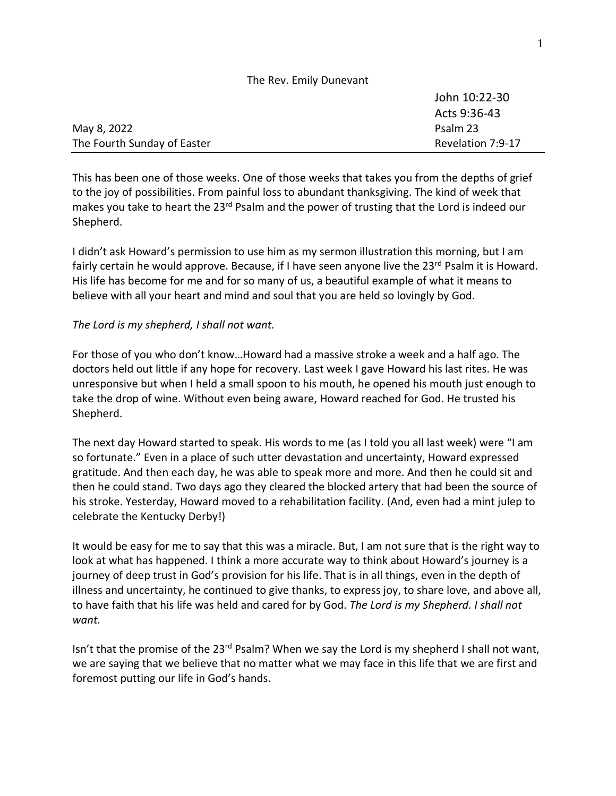| The Rev. Emily Dunevant     |                   |
|-----------------------------|-------------------|
|                             | John 10:22-30     |
|                             | Acts 9:36-43      |
| May 8, 2022                 | Psalm 23          |
| The Fourth Sunday of Easter | Revelation 7:9-17 |

This has been one of those weeks. One of those weeks that takes you from the depths of grief to the joy of possibilities. From painful loss to abundant thanksgiving. The kind of week that makes you take to heart the 23<sup>rd</sup> Psalm and the power of trusting that the Lord is indeed our Shepherd.

I didn't ask Howard's permission to use him as my sermon illustration this morning, but I am fairly certain he would approve. Because, if I have seen anyone live the  $23<sup>rd</sup>$  Psalm it is Howard. His life has become for me and for so many of us, a beautiful example of what it means to believe with all your heart and mind and soul that you are held so lovingly by God.

## *The Lord is my shepherd, I shall not want.*

For those of you who don't know…Howard had a massive stroke a week and a half ago. The doctors held out little if any hope for recovery. Last week I gave Howard his last rites. He was unresponsive but when I held a small spoon to his mouth, he opened his mouth just enough to take the drop of wine. Without even being aware, Howard reached for God. He trusted his Shepherd.

The next day Howard started to speak. His words to me (as I told you all last week) were "I am so fortunate." Even in a place of such utter devastation and uncertainty, Howard expressed gratitude. And then each day, he was able to speak more and more. And then he could sit and then he could stand. Two days ago they cleared the blocked artery that had been the source of his stroke. Yesterday, Howard moved to a rehabilitation facility. (And, even had a mint julep to celebrate the Kentucky Derby!)

It would be easy for me to say that this was a miracle. But, I am not sure that is the right way to look at what has happened. I think a more accurate way to think about Howard's journey is a journey of deep trust in God's provision for his life. That is in all things, even in the depth of illness and uncertainty, he continued to give thanks, to express joy, to share love, and above all, to have faith that his life was held and cared for by God. *The Lord is my Shepherd. I shall not want.*

Isn't that the promise of the  $23^{\text{rd}}$  Psalm? When we say the Lord is my shepherd I shall not want, we are saying that we believe that no matter what we may face in this life that we are first and foremost putting our life in God's hands.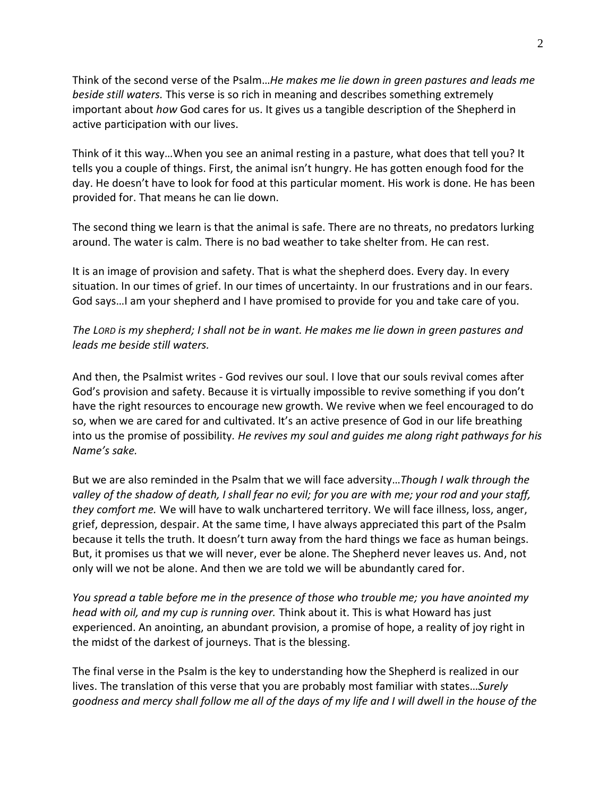Think of the second verse of the Psalm…*He makes me lie down in green pastures and leads me beside still waters.* This verse is so rich in meaning and describes something extremely important about *how* God cares for us. It gives us a tangible description of the Shepherd in active participation with our lives.

Think of it this way…When you see an animal resting in a pasture, what does that tell you? It tells you a couple of things. First, the animal isn't hungry. He has gotten enough food for the day. He doesn't have to look for food at this particular moment. His work is done. He has been provided for. That means he can lie down.

The second thing we learn is that the animal is safe. There are no threats, no predators lurking around. The water is calm. There is no bad weather to take shelter from. He can rest.

It is an image of provision and safety. That is what the shepherd does. Every day. In every situation. In our times of grief. In our times of uncertainty. In our frustrations and in our fears. God says…I am your shepherd and I have promised to provide for you and take care of you.

*The LORD is my shepherd; I shall not be in want. He makes me lie down in green pastures and leads me beside still waters.*

And then, the Psalmist writes - God revives our soul. I love that our souls revival comes after God's provision and safety. Because it is virtually impossible to revive something if you don't have the right resources to encourage new growth. We revive when we feel encouraged to do so, when we are cared for and cultivated. It's an active presence of God in our life breathing into us the promise of possibility*. He revives my soul and guides me along right pathways for his Name's sake.*

But we are also reminded in the Psalm that we will face adversity…*Though I walk through the valley of the shadow of death, I shall fear no evil; for you are with me; your rod and your staff, they comfort me.* We will have to walk unchartered territory. We will face illness, loss, anger, grief, depression, despair. At the same time, I have always appreciated this part of the Psalm because it tells the truth. It doesn't turn away from the hard things we face as human beings. But, it promises us that we will never, ever be alone. The Shepherd never leaves us. And, not only will we not be alone. And then we are told we will be abundantly cared for.

*You spread a table before me in the presence of those who trouble me; you have anointed my head with oil, and my cup is running over.* Think about it. This is what Howard has just experienced. An anointing, an abundant provision, a promise of hope, a reality of joy right in the midst of the darkest of journeys. That is the blessing.

The final verse in the Psalm is the key to understanding how the Shepherd is realized in our lives. The translation of this verse that you are probably most familiar with states…*Surely goodness and mercy shall follow me all of the days of my life and I will dwell in the house of the*